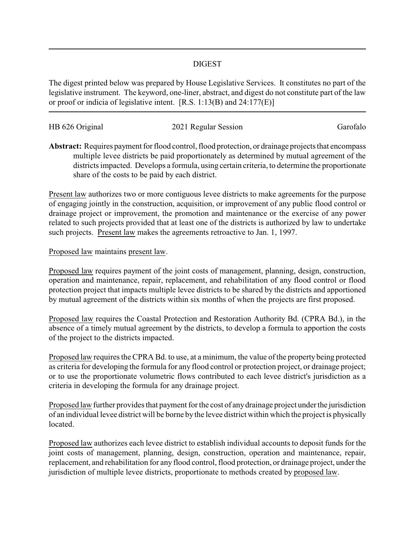## DIGEST

The digest printed below was prepared by House Legislative Services. It constitutes no part of the legislative instrument. The keyword, one-liner, abstract, and digest do not constitute part of the law or proof or indicia of legislative intent. [R.S. 1:13(B) and 24:177(E)]

| HB 626 Original | 2021 Regular Session | Garofalo |
|-----------------|----------------------|----------|
|                 |                      |          |

**Abstract:** Requires payment for flood control, flood protection, or drainage projects that encompass multiple levee districts be paid proportionately as determined by mutual agreement of the districts impacted. Develops a formula, using certain criteria, to determine the proportionate share of the costs to be paid by each district.

Present law authorizes two or more contiguous levee districts to make agreements for the purpose of engaging jointly in the construction, acquisition, or improvement of any public flood control or drainage project or improvement, the promotion and maintenance or the exercise of any power related to such projects provided that at least one of the districts is authorized by law to undertake such projects. Present law makes the agreements retroactive to Jan. 1, 1997.

## Proposed law maintains present law.

Proposed law requires payment of the joint costs of management, planning, design, construction, operation and maintenance, repair, replacement, and rehabilitation of any flood control or flood protection project that impacts multiple levee districts to be shared by the districts and apportioned by mutual agreement of the districts within six months of when the projects are first proposed.

Proposed law requires the Coastal Protection and Restoration Authority Bd. (CPRA Bd.), in the absence of a timely mutual agreement by the districts, to develop a formula to apportion the costs of the project to the districts impacted.

Proposed law requires the CPRA Bd. to use, at a minimum, the value of the property being protected as criteria for developing the formula for any flood control or protection project, or drainage project; or to use the proportionate volumetric flows contributed to each levee district's jurisdiction as a criteria in developing the formula for any drainage project.

Proposed law further provides that payment for the cost of anydrainage project under the jurisdiction of an individual levee district will be borne by the levee district within which the project is physically located.

Proposed law authorizes each levee district to establish individual accounts to deposit funds for the joint costs of management, planning, design, construction, operation and maintenance, repair, replacement, and rehabilitation for any flood control, flood protection, or drainage project, under the jurisdiction of multiple levee districts, proportionate to methods created by proposed law.